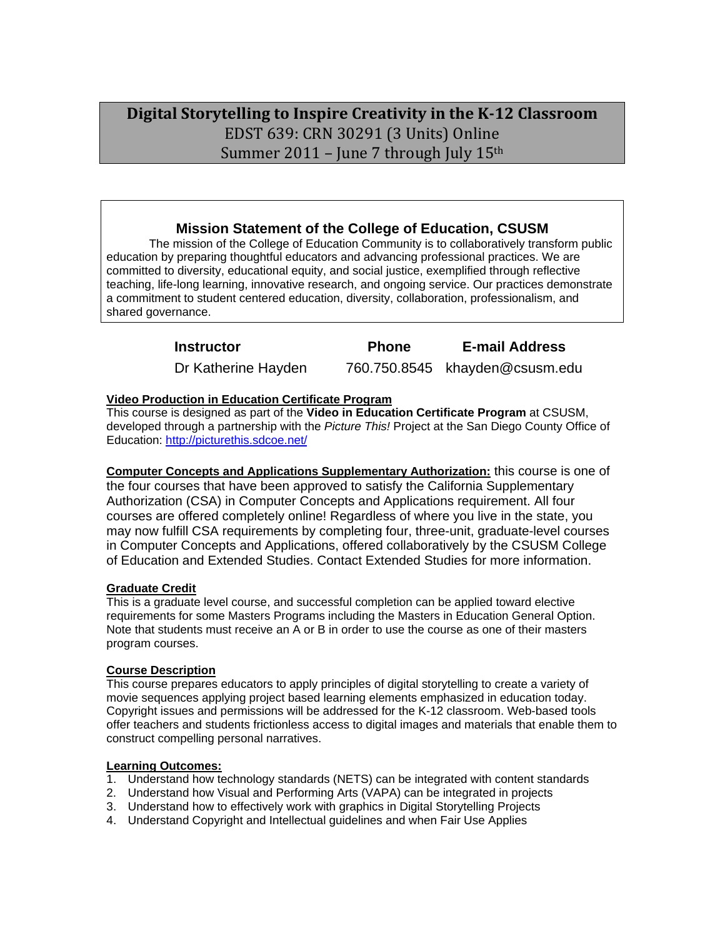# **Digital Storytelling to Inspire Creativity in the K‐12 Classroom** Summer 2011 – June 7 through July  $15^{\rm th}$  . EDST 639: CRN 30291 (3 Units) Online

# **Mission Statement of the College of Education, CSUSM**

The mission of the College of Education Community is to collaboratively transform public education by preparing thoughtful educators and advancing professional practices. We are committed to diversity, educational equity, and social justice, exemplified through reflective teaching, life-long learning, innovative research, and ongoing service. Our practices demonstrate a commitment to student centered education, diversity, collaboration, professionalism, and shared governance.

| <b>Instructor</b>   | <b>Phone</b> | <b>E-mail Address</b>          |
|---------------------|--------------|--------------------------------|
| Dr Katherine Hayden |              | 760.750.8545 khayden@csusm.edu |

## **Video Production in Education Certificate Program**

This course is designed as part of the **Video in Education Certificate Program** at CSUSM, developed through a partnership with the *Picture This!* Project at the San Diego County Office of Education: http://picturethis.sdcoe.net/

 of Education and Extended Studies. Contact Extended Studies for more information. **Computer Concepts and Applications Supplementary Authorization:** this course is one of the four courses that have been approved to satisfy the California Supplementary Authorization (CSA) in Computer Concepts and Applications requirement. All four courses are offered completely online! Regardless of where you live in the state, you may now fulfill CSA requirements by completing four, three-unit, graduate-level courses in Computer Concepts and Applications, offered collaboratively by the CSUSM College

# **Graduate Credit**

 program courses. This is a graduate level course, and successful completion can be applied toward elective requirements for some Masters Programs including the Masters in Education General Option. Note that students must receive an A or B in order to use the course as one of their masters

## **Course Description**

This course prepares educators to apply principles of digital storytelling to create a variety of movie sequences applying project based learning elements emphasized in education today. Copyright issues and permissions will be addressed for the K-12 classroom. Web-based tools offer teachers and students frictionless access to digital images and materials that enable them to construct compelling personal narratives.

### **Learning Outcomes:**

- 1. Understand how technology standards (NETS) can be integrated with content standards
- 2. Understand how Visual and Performing Arts (VAPA) can be integrated in projects
- 3. Understand how to effectively work with graphics in Digital Storytelling Projects
- 4. Understand Copyright and Intellectual guidelines and when Fair Use Applies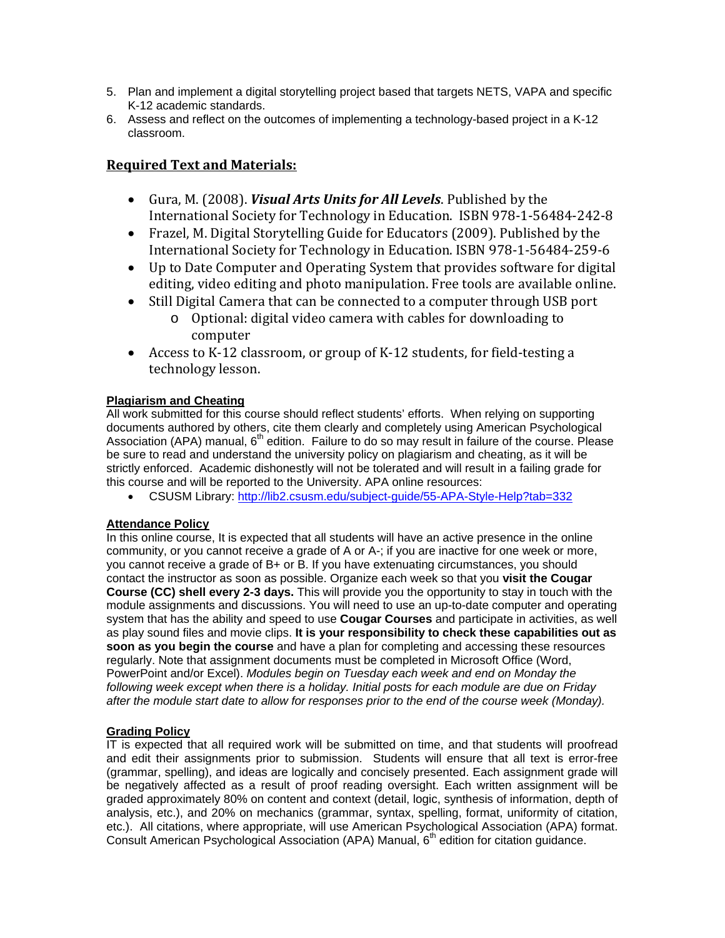- 5. Plan and implement a digital storytelling project based that targets NETS, VAPA and specific K-12 academic standards.
- 6. Assess and reflect on the outcomes of implementing a technology-based project in a K-12 classroom.

# **Required Text and Materials:**

- Gura, M. (2008). *Visual Arts Units for All Levels*. Published by the International Society for Technology in Education. ISBN 978‐1‐56484‐242‐8
- Frazel, M. Digital Storytelling Guide for Educators (2009). Published by the International Society for Technology in Education. ISBN 978‐1‐56484‐259‐6
- Up to Date Computer and Operating System that provides software for digital editing, video editing and photo manipulation. Free tools are available online.
- Still Digital Camera that can be connected to a computer through USB port
	- o Optional: digital video camera with cables for downloading to computer
- Access to K‐12 classroom, or group of K‐12 students, for field‐testing a technology lesson.

# **Plagiarism and Cheating**

All work submitted for this course should reflect students' efforts. When relying on supporting documents authored by others, cite them clearly and completely using American Psychological Association (APA) manual,  $6<sup>th</sup>$  edition. Failure to do so may result in failure of the course. Please be sure to read and understand the university policy on plagiarism and cheating, as it will be strictly enforced. Academic dishonestly will not be tolerated and will result in a failing grade for this course and will be reported to the University. APA online resources:

CSUSM Library: http://lib2.csusm.edu/subject-guide/55-APA-Style-Help?tab=332

# **Attendance Policy**

In this online course, It is expected that all students will have an active presence in the online community, or you cannot receive a grade of A or A-; if you are inactive for one week or more, you cannot receive a grade of B+ or B. If you have extenuating circumstances, you should contact the instructor as soon as possible. Organize each week so that you **visit the Cougar Course (CC) shell every 2-3 days.** This will provide you the opportunity to stay in touch with the module assignments and discussions. You will need to use an up-to-date computer and operating system that has the ability and speed to use **Cougar Courses** and participate in activities, as well as play sound files and movie clips. **It is your responsibility to check these capabilities out as soon as you begin the course** and have a plan for completing and accessing these resources regularly. Note that assignment documents must be completed in Microsoft Office (Word, PowerPoint and/or Excel). *Modules begin on Tuesday each week and end on Monday the following week except when there is a holiday. Initial posts for each module are due on Friday after the module start date to allow for responses prior to the end of the course week (Monday).* 

# **Grading Policy**

 be negatively affected as a result of proof reading oversight. Each written assignment will be Consult American Psychological Association (APA) Manual, 6<sup>th</sup> edition for citation guidance. IT is expected that all required work will be submitted on time, and that students will proofread and edit their assignments prior to submission. Students will ensure that all text is error-free (grammar, spelling), and ideas are logically and concisely presented. Each assignment grade will graded approximately 80% on content and context (detail, logic, synthesis of information, depth of analysis, etc.), and 20% on mechanics (grammar, syntax, spelling, format, uniformity of citation, etc.). All citations, where appropriate, will use American Psychological Association (APA) format.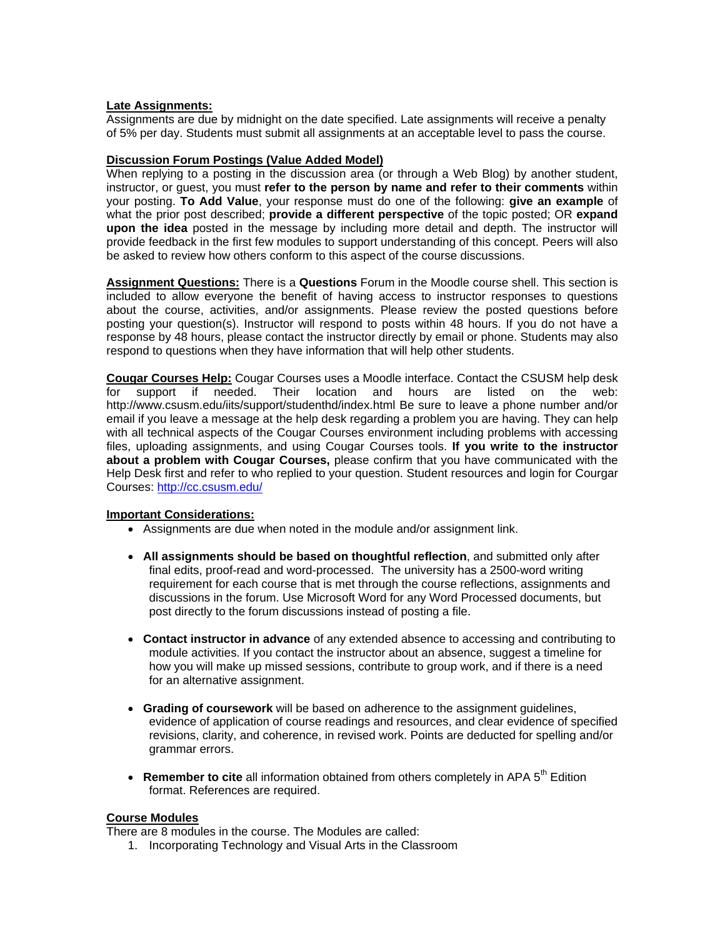#### **Late Assignments:**

Assignments are due by midnight on the date specified. Late assignments will receive a penalty of 5% per day. Students must submit all assignments at an acceptable level to pass the course.

#### **Discussion Forum Postings (Value Added Model)**

When replying to a posting in the discussion area (or through a Web Blog) by another student, instructor, or guest, you must **refer to the person by name and refer to their comments** within your posting. **To Add Value**, your response must do one of the following: **give an example** of what the prior post described; **provide a different perspective** of the topic posted; OR **expand upon the idea** posted in the message by including more detail and depth. The instructor will provide feedback in the first few modules to support understanding of this concept. Peers will also be asked to review how others conform to this aspect of the course discussions.

**Assignment Questions:** There is a **Questions** Forum in the Moodle course shell. This section is included to allow everyone the benefit of having access to instructor responses to questions about the course, activities, and/or assignments. Please review the posted questions before posting your question(s). Instructor will respond to posts within 48 hours. If you do not have a response by 48 hours, please contact the instructor directly by email or phone. Students may also respond to questions when they have information that will help other students.

**Cougar Courses Help:** Cougar Courses uses a Moodle interface. Contact the CSUSM help desk for support if needed. Their location and hours are listed on the web: http://www.csusm.edu/iits/support/studenthd/index.html Be sure to leave a phone number and/or email if you leave a message at the help desk regarding a problem you are having. They can help with all technical aspects of the Cougar Courses environment including problems with accessing files, uploading assignments, and using Cougar Courses tools. **If you write to the instructor about a problem with Cougar Courses,** please confirm that you have communicated with the Help Desk first and refer to who replied to your question. Student resources and login for Courgar Courses: http://cc.csusm.edu/

### **Important Considerations:**

- Assignments are due when noted in the module and/or assignment link.
- **All assignments should be based on thoughtful reflection**, and submitted only after final edits, proof-read and word-processed. The university has a 2500-word writing requirement for each course that is met through the course reflections, assignments and discussions in the forum. Use Microsoft Word for any Word Processed documents, but post directly to the forum discussions instead of posting a file.
- **Contact instructor in advance** of any extended absence to accessing and contributing to module activities. If you contact the instructor about an absence, suggest a timeline for how you will make up missed sessions, contribute to group work, and if there is a need for an alternative assignment.
- **Grading of coursework** will be based on adherence to the assignment guidelines, evidence of application of course readings and resources, and clear evidence of specified revisions, clarity, and coherence, in revised work. Points are deducted for spelling and/or grammar errors.
- Remember to cite all information obtained from others completely in APA 5<sup>th</sup> Edition format. References are required.

## **Course Modules**

There are 8 modules in the course. The Modules are called:

1. Incorporating Technology and Visual Arts in the Classroom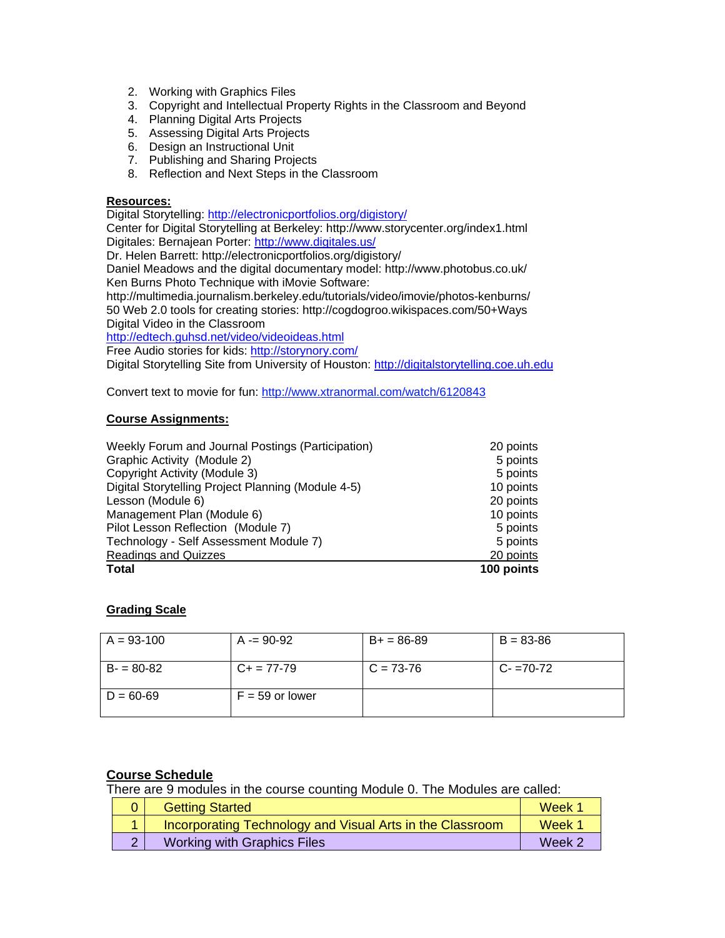- 2. Working with Graphics Files
- 3. Copyright and Intellectual Property Rights in the Classroom and Beyond
- 4. Planning Digital Arts Projects
- 5. Assessing Digital Arts Projects
- 6. Design an Instructional Unit
- 7. Publishing and Sharing Projects
- 8. Reflection and Next Steps in the Classroom

### **Resources:**

Digital Storytelling: http://electronicportfolios.org/digistory/

Center for Digital Storytelling at Berkeley: http://www.storycenter.org/index1.html Digitales: Bernajean Porter: http://www.digitales.us/

Dr. Helen Barrett: http://electronicportfolios.org/digistory/

Daniel Meadows and the digital documentary model: http://www.photobus.co.uk/ Ken Burns Photo Technique with iMovie Software:

http://multimedia.journalism.berkeley.edu/tutorials/video/imovie/photos-kenburns/ 50 Web 2.0 tools for creating stories: http://cogdogroo.wikispaces.com/50+Ways Digital Video in the Classroom

http://edtech.guhsd.net/video/videoideas.html

Free Audio stories for kids: http://storynory.com/

Digital Storytelling Site from University of Houston: http://digitalstorytelling.coe.uh.edu

Convert text to movie for fun: http://www.xtranormal.com/watch/6120843

# **Course Assignments:**

| Weekly Forum and Journal Postings (Participation)  | 20 points  |
|----------------------------------------------------|------------|
| Graphic Activity (Module 2)                        | 5 points   |
| Copyright Activity (Module 3)                      | 5 points   |
| Digital Storytelling Project Planning (Module 4-5) | 10 points  |
| Lesson (Module 6)                                  | 20 points  |
| Management Plan (Module 6)                         | 10 points  |
| Pilot Lesson Reflection (Module 7)                 | 5 points   |
| Technology - Self Assessment Module 7)             | 5 points   |
| <b>Readings and Quizzes</b>                        | 20 points  |
| <b>Total</b>                                       | 100 points |

# **Grading Scale**

| $A = 93-100$  | $A = 90-92$       | $B+ = 86-89$ | $B = 83 - 86$ |
|---------------|-------------------|--------------|---------------|
| $B = 80-82$   | $C_{+}$ = 77-79   | $C = 73-76$  | $C - 70 - 72$ |
| $D = 60 - 69$ | $F = 59$ or lower |              |               |

# **Course Schedule**

There are 9 modules in the course counting Module 0. The Modules are called:

|  | <b>Getting Started</b>                                    | Week 1 |
|--|-----------------------------------------------------------|--------|
|  | Incorporating Technology and Visual Arts in the Classroom | Week 1 |
|  | <b>Working with Graphics Files</b>                        | Week 2 |